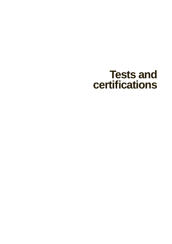# **Tests and certifi cations**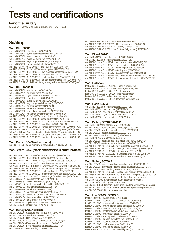# **Tests and certifications**

**Performed in Italy**

(Catas Srl – 33048 S.Giovanni al Natisone – UD – Italy)

# **Seating**

## **Mod. Blitz S0586**

test UNI 8582/84 - stability test (02/02/98) OK test UNI 8586/84 - cyclic seat impact test (19/02/98) - 5° test UNI 8585/84 - seat impact test (19/03/98) - 5° test UNI 9083/87 - cyclic fall-down test (24/02/98) - 5° test UNI 9088/87 - leg strength/side load (24/02/98) - 5° test UNI 8584/84 - frame durability test (04/02/98) - 3° test ANSI-BIFMA X5 . 1-1993/7 - back pull test (11/03/98) - OK test ANSI-BIFMA X5 . 1-1993/9 - seat drop test (11/03/98) - OK test ANSI-BIFMA X5 . 1-1993/12 - cyclic seat impact test (03/03/98) - OK test ANSI-BIFMA X5 . 1-1993/13 - stability test (03/02/98) - OK test ANSI-BIFMA X5 . 1-1993/17 - back durability test (04/02/98) - OK test ANSI-BIFMA X5 . 1-1993/19 - leg strength/front load test (11/03/98) - OK test ANSI-BIFMA X5 . 1-1993/20 - leg strength/side load test (11/03/98) – OK

### **Mod. Blitz S0586 B**

test UNI 8582/84 - stability test (02/02/98) OK test UNI 8584/84 - back pull test (04/02/98) 5° test UNI 8586/84 - cyclic seat impact test (23/02/98) 5° test UNI 8585/84 - seat drop test (03/03/98) 5° test UNI 9083/87 - cyclic fall-down test (10/03/98) 5° test UNI 9088/87 - leg strength/side load test (11/03/98) 5° test UNI 9089/87 - back impact test (11/03/98) 5° test UNI 9089/87 - arm impact test (11/03/98) 5° test UNI 8589/84 - vertical arm strength test (10/03/98) 5° test UNI 8590/84 - horizontal arm strength test (10/03/98) 5° test ANSI-BIFMA X5 . 1-1993/7 - back pull test (11/03/98) - OK test ANSI-BIFMA X5 . 1-1993/9 - seat drop test (11/03/98) - OK test ANSI-BIFMA X5 . 1-1993/12 - cyclic back impact test (07/03/98) - OK test ANSI-BIFMA X5 . 1-1993/13 - stability test (03/02/98) - OK test ANSI-BIFMA X5 . 1-1993/14 - vertical arm strength test (11/03/98) - OK test ANSI-BIFMA X5 . 1-1993/15 - horizontal arm strength test (11/03/98) - OK test ANSI-BIFMA X5 . 1-1993/17 - back durability test (04/02/98) - OK test ANSI-BIFMA X5 . 1-1993/19 - leg strength/front load test (11/03/98) - OK test ANSI-BIFMA X5 . 1-1993/20 - leg strength/side load test (11/03/98) - OK

#### **Mod. Breeze S0466 (all versions)**

test UNI 5687/73 - frame durability to salty mist/120 h (03/12/97) - OK

#### **Mod. Breeze S0466 (stools and swivel version not included)**

test ANSI-BIFMA X5 . 1-1993/6 - back impact test (04/05/95) OK test ANSI-BIFMA X5 . 1-1993/9 - seat drop test (04/05/95) OK test ANSI-BIFMA X5 . 1-1993/12 - cyclic seat impact test (07/08/95) OK test ANSI-BIFMA X5 . 1-1993/13 - stability test (03/05/95) OK test ANSI-BIFMA X5 . 1-1993/14 - vertical arm strength test (10/05/95) OK test ANSI-BIFMA X5 . 1-1993/15 - horizontal arm strength test (10/05/95) OK test ANSI-BIFMA X5 . 1-1993/17 - back durability test (03/05/95) OK test ANSI-BIFMA X5 . 1-1993/19 - leg strength/front load test (04/05/95) OK test ANSI-BIFMA X5 . 1-1993/20 - leg strength/side load test (04/05/95) OK test UNI 8587-84 - back strength test (17/07/98) - 5° test UNI 9083-87 - cyclic fall-down test (20/07/98) - 5° test UNI 9088-87-84 - leg strength/side load test (20/07/98) - 5° test UNI 9089-87 - back impact test (20/07/98) - 5° test UNI 9089/87 - arm impact test (20/07/98) - 5° test UNI 8589-84 - vertical arm strength test (20/07/98) - 5° test UNI 8590-84 - horizontal arm strength test (20/07/98) - 5° test UNI 8584-84 - back durability test (20/07/98) - 4° test UNI 8585-84 - seat impact test (08/07/98) - 5° test UNI 8586-84 - cyclic seat impact test (13/06/98) - 5° test EN 1022/96 - stability test (26/05/98) - OK

## **Mod. Buddy (Art. A600SG)**

test EN 1728/00 - Seat and back fatigue test (12/09/07) 5° test EN 1728/00 - Seat impact test (12/09/07) 5° test EN 1728/00 - Back impact test (12/09/07) 5° test EN 1728/00 - Seat & Back static load test (12/09/07) 5° test EN 1728/00 - Front seat durability test (12/09/07) 5° test EN 1728/00 - Front rest static load test (12/09/07) 5° test UNI EN 1022/05 - Stability (20/09/07) OK

test ANSI-BIFMA X5.1 2002/08 - Seat drop test (20/09/07) OK test ANSI-BIFMA X5.1 2002/11 - Back impact test (12/09/07) OK test ANSI-BIFMA X5.1 2002/12 - Stability (12/09/07) OK test ANSI-BIFMA X5.1 2002/19 - Footrest fatigue test (12/09/07) OK

#### **Mod. Cloud S0700**

test UNI 8584/84 - back strength test (13/01/00 ) 5° test UNI/EN 1022/98 - stability test (17/06/99) OK test ANSI-Bifma X.5.1-1993/7 - back durability test (28/06/99) OK test ANSI-Bifma X.5.1-1993/9 - seat impact test (28/06/99) OK test ANSI-Bifma X.5.1-1993/12 - cyclic impact test (28/06/99) OK test ANSI-Bifma X.5.1-1993/13 - stability test (28/06/99) OK test ANSI-Bifma X.5.1-1993/17 - back strength test (28/06/99) OK test ANSI-Bifma X.5.1-1993/19 - leg strenght/front load test (18/01/00) OK test ANSI-Bifma X.5.1-1993/20 - leg strenght/side load test (18/01/00) OK

#### **Mod. E-Motion**

Test ANSI-BIFMA X5.1 - 2011/16 – back durability test Test ANSI-BIFMA X5.1 - 2011/11 - seating durability test Test ANSI-BIFMA X5.1 – 2011/12 – stability test Test ANSI-BIFMA X5.1 – 2011/6 - backrest strength Test ANSI-BIFMA X5.1 – 2011/8 - seat impact test Test ANSI-BIFMA X5.1 – 2011/18 front leg static load test

#### **Mod. Flash S0633**

test UNI/EN 1022/98 - stability test (12/02/99) OK test UNI 8584/84 - back pull test (12/02/99)  $5^{\circ}$ test UNI 8587/84 - back durability test (12/02/99) 5° test UNI 8586/84 - cyclic seat impact test (12/02/99) 4° test UNI 8585/84 - seat impact test (12/02/99) 4°

## **Mod. Gallery S0740/S0740 B**

test UNI-EN 1022/98 -stability test (12/02/02) OK test EN 1728/00 -front legs static load test (12/02/02)OK test EN 1728/00 -side legs static load test (12/02/02)OK test EN 1728/00 -seat impact test (12/02/02) OK test EN 1728/00 -back impact test (12/02/02) OK test UNI 9038/87 -drop test (25/02/02 ) - 5° test EN 1728/00 -seat and back static load test (05/03/02) OK 5° test EN 1728/00 -seat and back fatigue test (05/03/02) OK 5° test ANSI-BIFMA X5. 1-1993/12 front legs static load test (25/11/02) OK test ANSI-BIFMA X5. 1-1993/12 side legs static load test (25/11/02) OK test ANSI-BIFMA X5. 1-1993/12 - stability test (25/11/02) OK test ANSI-BIFMA X5. 1-1993/12 - back resistance test (25/11/02) OK test ANSI-BIFMA X5 1-1993/09 - seat impact test (02/12/02) OK

#### **Mod. Gallery S0740 B**

test EN 1728/00 - armrests vertical static load test (05/03/02) OK 5° test EN 1728/00 - armrests horizontal static load test (05/03/02) OK 5° test EN 1728/00 - armrest fatigue test (05/03/02) OK -  $5^{\circ}$ test ANSI-BIFMA X5. 1-1993/12 - vertical arm strength test (25/11/02) OK test ANSI-BIFMA X5 1-1993/09 - horizontal arm strength test (02/12/02) OK The seat and back padding foam meets the following standards: test UNI 6356-2/88 dynamic fatigue with costant deformation test UNI 6353/85 sinkinng resistance index test EN ISO 1856/00 remaining deformation after permanent compression test EN ISO 3386-1/97 effort- deformation on compression specifications test EN ISO 3385/95 fatigue on constant load

#### **Mod. Iron S0945 / S0945 B**

Test EN 1022/05 - stability test ( 30/11/09) OK Test EN 1728/00 - seat and back static load test (30/11/09) 2° Test EN 1728/00 - arm vertical static load test ( $30/11/09$ )  $2^{\circ}$ Test EN 1728/00 - arm horizontal static load test ( 30/11/09) 2° Test EN 1728/00 - seat and back fatigue test ( 30/11/09) 2° Test EN 1728/00 - seat front edge fatigue test ( 30/11/09) 2° Test EN 1728/00 - arm fatigue test ( 30/11/09) 2° Test EN 1728/00 - front leg static load test ( 30/11/09) 2° Test EN 1728/00 - side leg static load test ( 30/11/09) 2° Test EN 1728/00 - seat impact test ( 30/11/09) 2° Test EN 1728/00 - back impact teste ( 30/11/09) 2° Test EN 1728/00 - arm impact test (14/12/09) 2° Test ANSI-BIFMA X5.1 - 2002/12 - stability test ( 14/12/09) OK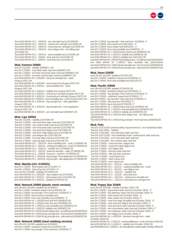

215

Test ANSI-BIFMA X5.1 - 2002/20 - arm strenght load (14/12/09)OK Test ANSI-BIFMA X5.1 - 2002/13 - vertical arm strenght (14/12/09) OK Test ANSI-BIFMA X5.1 - 2002/14 - horizontal arm strenght (14/12/09) OK Test ANSI-BIFMA X5.1 - 2002/16 - back fatigue test - non tilting seat (14/12/09) OK Test ANSI-BIFMA X5.1 - 2002/11 - seat durability test (14/12/09) OK

Test ANSI-BIFMA X5.1 - 2002/6 - back pull test (14/12/09) OK Test ANSI-BIFMA X5.1 - 2002/8 - seat drop test (14/12/09) ok

#### **Mod. Kimono S0060**

test EN 1022/05 - stability (08/08/07 ) OK test EN 1728/00 - seat /back static load test (08/08/07) OK test EN 1728/00 - armrests horizontal static load test (08/08/07) OK test EN 1728/00 - armrests vertical static load test (08/08/07) OK test ANSI-BIFMA X5 1-2002/06 - backrest strenght test - static (August 2007) OK test ANSI-BIFMA X5 1-2002/08 - seat impact test (August 2007) OK test ANSI-BIFMA X5 1-2002/11 - seat durability test - cyclic (August 2007) OK test ANSI-BIFMA X5 1-2002/12 - stability test (August 2007) OK test ANSI-BIFMA X5 1-2002/13 - vertical arm strenght (August 2007) OK test ANSI-BIFMA X5 1-2002/13 - horizontal arm strenght (August 2007) OK test ANSI-BIFMA X5 1-2002/16 - back durability test - cyclic (August 2007) OK test ANSI-BIFMA X5 1-2002/18 - leg strenght test - side application (August 2007) OK

test ANSI-BIFMA X5 1-2002/18 - leg strenght test - front application (August 2007) OK

test ANSI-BIFMA X5 1-2002/20 - arm strenght load (20/09/07) OK

#### **Mod. Lips S0054**

Test EN 1022/05 - stability (21/07/08) OK Test EN 1728/00 - seat and back static load test (21/07/08) OK Test EN 1728/00 - arm vertical static load test (21/07/08) OK Test EN 1728/00 - arm horizontal static load test (21/07/08) OK Test EN 1728/00 - seat and back fatigue test (21/07/08) OK Test EN 1728/00 - seat front edge fatigue test (21/07/08) OK Test EN 1728/00 - arm fatigue test (21/07/08) OK Test EN 1728/00 - front leg static load test (21/07/08) OK Test EN 1728/00 - side leg static load test (21/07/08) OK Test ANSI-BIFMA X5.1 - 2002/16 - back durability test - cyclic (27/06/08) OK Test ANSI-BIFMA X5.1 - 2002/11 - seating durability test - cyclic (27/06/08) OK Test ANSI-BIFMA X5.1 - 2002/12 - stability test (27/06/08) OK Test ANSI-BIFMA X5.1 - 2002/6 - backrest strength - static (27/06/08) OK Test ANSI-BIFMA X5.1 - 2002/8 - drop test - dynamic (27/06/08) OK Test ANSI-BIFMA X5.1 - 2002/18 - leg strength - front application (27/06/08) OK Test ANSI-BIFMA X5.1 - 2002/18 - leg strength - side application (27/06/08) OK

#### **Mod. Mambo (Art. A100SG)**

test EN 1728/00 - Seat impact test (17/11/04 ) 4° test EN 1728/00 - Seat drop test (17/11/04)  $4^{\circ}$ test UNI EN 1022/98 - Stability (07/04/04) OK test ANSI-BIFMA X5.1 2002/09 - Seat rotation test (07/04/04) test ANSI-BIFMA X5.1 2002/11 - Seat impact test (11/01/05) OK test ANSI-BIFMA X5.1 2002/12 - Stability (07/04/04) OK

#### **Mod. Network S0900 (plastic mesh version)**

test UNI-EN 1022/98 -stability test (01/09/03 ) test EN 1728/00 -seat/back impact test (12/02/02) OK test EN 1728/00 -leg strength / front load test ( 01/09/03)- 5° test EN 1728/00 -seat and back durability test test EN 1728/00 -front seat durability test (23/09/03) - 5° test ANSI-BIFMA X5. 1-2002/6 back pull test (26/08/03) OK test ANSI-BIFMA X5. 1-2002/8 seat drop test (26/08/03) OK test ANSI-BIFMA X5. 1-2002/11 seat durability test (26/08/03) OK test ANSI-BIFMA X5. 1-2002/12 stability test (26/08/03) OK test ANSI-BIFMA X5 1-2002/16 back fatigue test - non tilting seat (26/08/03)OK test ANSI-BIFMA X5 1-2002/18 leg strength test - front load test (26/08/03)OK test ANSI-BIFMA X5 1-2002/18 leg strength test - side load test (26/08/03) OK

## **Mod. Network S0900 (steel webbing version)**

test UNI-EN 1022/98 -stability test (01/09/03 ) test EN 1728/00 -seat/back impact test (12/02/02) OK test EN 1728/00 -leg strength / front load test ( 01/09/03)- 5° test EN 1728/00 -leg strength / side load test ( 01/09/03)- 5° test EN 1728/00 -seat impact test (09/12/02) - 4° test EN 1728/00 -back impact test (09/12/02) - 4° test EN 1728/00 -front seat durability test (23/09/03) - 4° test ANSI-BIFMA X5. 1-2002/6 back impact test (26/08/03) OK test ANSI-BIFMA X5. 1-2002/12 stability test (26/08/03) OK test ANSI BIFMA X5 1-1993/13 stability test (19/11/02) OK test ANSI-BIFMA X5 1-2002/16 back fatigue test - non tilting seat (26/08/03)OK test ANSI BIFMA X5 1-1993/17 back durability test (19/11/02)OK test ANSI-BIFMA X5 1-2002/18 leg strength test - front load test (26/08/03)OK test ANSI-BIFMA X5 1-2002/18 leg strength test - side load test (26/08/03) OK

#### **Mod. Noon G0930**

test UNI-EN 1022/98 -stability(17/07/02) OK test EN 1728/00 -seat/back impact test (01/09/03)- 5° test EN 1728/00 -front seat durability test (05/11/02) 5°

#### **Mod. Pacifi c S0500**

test UNI-EN 1022/98 -stability (07/04/03) OK test EN 1728/00 -seat/back impact test (01/09/03)- 5° test EN 1728/00 - leg strength / front load test (07/04/03)- 5° test EN 1728/00 - seat/back impact test (07/04/03) - 5° test EN1728/00 - leg strength / side load test (07/04/03)- 5° test EN 1728/00 -seat drop test (07/04/03)- 5° test EN 1728/00 -back drop test (07/04/03)- 5° test ANSI-BIFMA X5. 1-2002/6 back drop test (26/08/03) OK test ANSI-BIFMA X5. 1-2002/11 seat durability test (26/08/03) OK test ANSI-BIFMA X5. 1-2002/12 stability test (26/08/03) OK Test ANSI-BIFMA X5 1-2002/16 back fatigue test - non tilting seat (26/08/03)OK Test ANSI-BIFMA X5 1-2002/18 leg strength / front load test (26/08/03)OK

#### **Mod. Polo**

Test EN 15373:2007 general safety requirements for non-residential chairs. Test EN 1022:2005 – stability Test EN 1728:2000 - seat and back static load test Test EN 15373:2007- non-residential chairs- vertical back static load test Test EN 1728:2000 - arm horizontal static load test Test EN 1728:2000 - arm vertical static load test Test EN 1728/00 – seat and back fatigue test Test EN 1728/00 – seat front edge fatigue test Test EN 1728/00 - arm fatigue test Test EN 1728/00 - front leg static load test Test EN 1728/00 - side leg static load test Test EN 1728/00 – seat impact test Test EN 1728/00 – back impact test Test EN 1728/00 – arm impact test Test ANSI-BIFMA X5.1 - 2011/16 – back durability test Test ANSI-BIFMA X5.1 - 2011/11 - seating durability test - cyclic Test ANSI-BIFMA X5.1 - 2011/21 - arm fatigue test Test ANSI-BIFMA X5.1 – 2011/12 – stability test Test ANSI-BIFMA X5.1 – 2011/8 – seat drop test Test ANSI-BIFMA X5.1 – 2011/13 – vertical arm strength test Test ANSI-BIFMA X5.1 – 2011/14- horizontal arm strenght test

#### **Mod. Poppy Star S0400**

test UNI-EN 1022/98 - stability (October 2004 ) OK test EN 1728/00 - leg forward static load test (October 2004) - 5° test EN 1728/00 - leg sideways static load test (October 2004)- 5° test EN 1728/00 - seat impact test (October 2004) - 5° test EN 1728/00 - back impact test (October 2004)- 5° test EN 1728/00 - seat front edge durability test (October 2004) - 5° test EN 1728/00 - seat and back fatigue test (October 2004)- 5° test EN 1728/00 - seat and back static load test (October 2004)- 5° test EN 1728/00 - arm downwards static load test (October 2004)-5° test EN 1728/00 - arm sideways static load test (October 2004)- 5° test EN 1728/00 - arm fatigue test (October 2004)- 5° test ANSI-BIFMA X5. 1-2002/06 - backrest strenght test - static (October 2004) OK test ANSI-BIFMA X5. 1-2002/11 - seat durability test - cyclic (October 2004) OK test ANSI-BIFMA X5. 1-2002/12 - stability test (October 2004) OK test ANSI-BIFMA X5. 1-2002/13 - arm strenght test- vertical static (October 2004) OK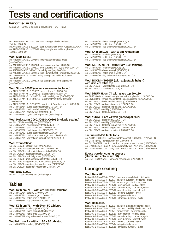# **Tests and certifications**

## **Performed in Italy**

(Catas Srl – 33048 S.Giovanni al Natisone – UD – Italy)

test ANSI-BIFMA X5. 1-2002/14 - arm strenght - horizontal static (October 2004) OK

test ANSI-BIFMA X5. 1-2002/16 - back durability test - cyclic (October 2004) OK test ANSI-BIFMA X5. 1-2002/18 - Leg strenght test - side application (October 2004) OK

#### **Mod. Slide S0050**

test ANSI-BIFMA X5. 1-2002/06 - backrest strenght test - static (May 2006) OK

test ANSI-BIFMA X5. 1-2002/08 - seat impact test (May 2006) OK test ANSI-BIFMA X5. 1-2002/11 - seat durability test - cyclic (May 2006) OK test ANSI-BIFMA X5. 1-2002/12 - stability test (May 2006) OK test ANSI-BIFMA X5. 1-2002/16 - back durability test - cyclic (May 2006) OK test ANSI-BIFMA X5. 1-2002/18 - leg strenght test - side application (May 2006) OK

test ANSI-BIFMA X5. 1-2002/18 - leg strenght test - front application (May 2006) OK

#### **Mod. Storm S0527 (swivel version not included)**

test ANSI-BIFMA X5 . 1-1993/7 - back pull test (11/03/98) OK test ANSI-BIFMA X5 . 1-1993/13 - stability test (03/02/98) OK test ANSI-BIFMA X5 . 1-1993/17 - back durability test (04/02/98) OK test ANSI-BIFMA X5 . 1-1993/19 - leg strength/front load test 334N (11/03/98) OK test ANSI-BIFMA X5 . 1-1993/20 - leg strength/side load test (11/03/98) OK test UNI 8586/84 - cyclic seat impact test (27/04/98) - 5° test UNI 8584/84 - back durability test (03/02/98) -  $5^{\circ}$ test UNI 8582/84 - stability test (02/02/98) - 5° test UNI 8586/84 - cyclic back impact test (28/04/98) - 5°

#### **Mod. Multistorm C0603/C0604/C0605 (multiple seating)**

test EN 1022/96 - stability test (08/06/98) OK test UNI 8587/84 - back durability test (08/06/98) - 5° test UNI 8585/84 - seat impact test (15/06/98) - 5° test UNI 9089/87 - back impact test (15/06/98) - 5° test UNI 9430/89 - cyclic seat impact test (12/06/98) - 5° test UNI 8590/84 - horizontal arm strength test (15/06/98) - 5° test UNI 8589/84 - vertical arm strength test (15/06/98) - 4

#### **Mod. Trono S0040**

test EN 1022/98 - stability test (24/05/05) OK test EN 1728/00 -seat static load test (24/05/05) OK test EN 1728/00 -back static fatigue test (24/05/05) OK test EN 1728/00 -seat fatigue test (24/05/05) OK test EN 1728/00 -back fatigue test (24/05/05) OK test EN 1728/00 -front seat durability test (24/05/05) OK test EN 1728/00 -leg strength / front load test (24/05/05) OK test EN 1728/00 -leg strength / side load test (24/05/05) OK test EN 1728/00 -seat/back impact test (24/05/05) OK

#### **Mod. UNO S0001**

test EN 1022/98 - stability test (24/05/05) OK

# **Tables**

## **Mod. K2 h cm 71 – with cm 180 x 80 tabletop**

test UNI 8592/84 - stability (17/09/01) OK test UNI 8595/84 - base strength (17/09/01) 5° test UNI 9085/87 – table drop (17/09/01) 5° test UNI 9086/87 – leg sideways impact (17/09/01) 5°

### **Mod. K3 h cm 71 – with Ø cm 50 tabletop**

test UNI 8592/84 – stability (15/10/01) OK test UNI 8595/84 – base strength (15/10/01) 5° test UNI 9085/87 – table drop (15/10/01) 5° test UNI 9086/87 – leg sideways impact (15/10/01) 5°

**Mod K4 h cm 7 – with cm 80 x 80 tabletop**

test UNI 8592/84 – stability (15/10/01) OK

| test UNI 8595/84 - base strength (15/10/01) $5^{\circ}$ |
|---------------------------------------------------------|
| test UNI 9085/87 - table drop (15/10/01) $5^{\circ}$    |
| test UNI 9086/87 - leg sideways impact (15/10/01) 5°    |

### **Mod. K4 h cm 105 – with Ø cm 70 tabletop**

test UNI 8592/84 – stability (15/10/01) OK test UNI 9085/87 – table drop (15/10/01) 5° test UNI 9086/87 – leg sideways impact (15/10/01) 5°

#### **Mod. K5 – h. cm 71 – with Ø cm 150 tabletop**

test UNI 8592/84 – stability (15/10/01) OK test UNI 8595/84 – base strength (15/10/01) 5° test UNI 9085/87 – table drop (15/10/01) 5° test UNI 9086/87 – leg sideways impact (15/10/01) 5°

#### **Mod. BOOM – T0645R (with adjustable height)**

**with ø 59 cm table top** test EN 1730/00 – Vertical static load (28/11/06) OK test EN 1730/00 – stability (28/11/06) 5°

#### **Mod. DRUM H. cm 74 with glass top 90x180**

test EN1730/00 - horizontal strenght test - side application (12/07/07) OK test EN1730/00 - vertical strenght test - side application (12/07/07) OK test EN 1730/00 - horizontal fatigue test ((12/07/07) OK test EN 1730/00 - vertical fatigue test (12/07/07) OK test EN 1730/00 - table top impact test (12/07/07) OK test EN 1730/00 - stability (12/07/07) OK test EN 1730/00 - table drop (12/07/07) OK

#### **Mod. YOGA H. cm 74 with glass top 90x220**

test EN 1730/00 - table drop (23/08/07) OK test EN 1730/00 - stability (23/08/07) OK test EN 1730/00 - table top impact test (23/08/07) OK test EN 1730/00 - vertical fatigue test (23/08/07) ) OK test EN 1728/00 - vertical impact test (23/08/07) OK

#### **Lacquered MDF table tops**

test ASTM D 3363/80 - surface hardeness test (19/05/98) - "F" level - OK test UNI 9427/89 - light reaction test (14/05/98) - 5° test DIN 68861/81 - par. 1 - chemical compounds reaction test (14/05/98) OK test DIN 68861/81 - par. 2 - surface durability test - "2E" level (14/05/98) OK test DIN 68861/81 - par. 7 - dry heath reaction test - "7C" level (18/05/98) OK

#### **Epoxy powder coating process**

**(aluminium colour- ref. 68)** test UNI – ISO 9227/93 – corrosion resistance ( 08/10/01)OK

# **Lounge seating**

#### **Mod. Beta I811**

Test ANSI-BIFMA X5.4 - 2005/5 - backrest strength horizontal, static Test ANSI-BIFMA X5.4 - 2005/7 - backrest durability - horizontal, cyclic Test ANSI-BIFMA X5.4 - 2005/9 - arm strength - horizontal, static Test ANSI-BIFMA X5.4 - 2005/10 - arm strength - vertical, static Test ANSI-BIFMA X5.4 - 2005/11 - arm durability - horizontal, cyclic Test ANSI-BIFMA X5.4 - 2005/12 - arm durability - vertical, cyclic Test ANSI-BIFMA X5.4 - 2005/13 - seating durability - cyclic Test ANSI-BIFMA X5.4 - 2005/14 - drop test - dynamic Test ANSI-BIFMA X5.4 - 2005/15 - structural durability - cyclic

#### **Mod. Delta I805**

Test ANSI-BIFMA X5.4 - 2005/5 - backrest strength horizontal, static Test ANSI-BIFMA X5.4 - 2005/7 - backrest durability - horizontal, cyclic Test ANSI-BIFMA X5.4 - 2005/9 - arm strength - horizontal, static Test ANSI-BIFMA X5.4 - 2005/10 - arm strength - vertical, static Test ANSI-BIFMA X5.4 - 2005/11 - arm durability - horizontal, cyclic Test ANSI-BIFMA X5.4 - 2005/12 - arm durability - vertical, cyclic Test ANSI-BIFMA X5.4 - 2005/13 - seating durability - cyclic Test ANSI-BIFMA X5.4 - 2005/14 - drop test - dynamic Test ANSI-BIFMA X5.4 - 2005/15 - structural durability - cyclic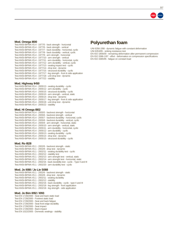

217

#### **Mod. Omega I800**

| Test ANSI-BIFMA X5.4 - 1977/5 - back strength - horizontal               |
|--------------------------------------------------------------------------|
| Test ANSI-BIFMA X5.4 - 1977/6 - back strength - vertical                 |
| Test ANSI-BIFMA X5.4 - 1977/7 - back durability - horizontal, cyclic     |
| Test ANSI-BIFMA X5.4 - 1977/8 - back durability - vertical, cyclic       |
| Test ANSI-BIFMA X5.4 - 1977/9 - arm strength - horizontal                |
| Test ANSI-BIFMA X5.4 - 1977/10 - arm strength - vertical                 |
| Test ANSI-BIFMA X5.4 - 1977/11 - arm durability - horizontal, cyclic     |
| Test ANSI-BIFMA X5.4 - 1977/12 - arm durability - vertical, cyclic       |
| Test ANSI-BIFMA X5.4 - 1977/13 - seating impact test - cyclic            |
| Test ANSI-BIFMA X5.4 - 1977/14 - drop test - dynamic                     |
| Test ANSI-BIFMA X5.4 - 1977/15 - structural durability - cyclic          |
| Test ANSI-BIFMA X5.4 - 1977/17 - leg strength - front & side application |
| Test ANSI-BIFMA X5.4 - 1977/18 - unit drop test - dynamic                |
| Test ANSI-BIFMA X5.4 - 1977/22 - stability                               |
|                                                                          |

#### **Mod. Highway IH50**

Test ANSI-BIFMA X5.4 - 2005/13 - seating durability - cyclic Test ANSI-BIFMA X5.4 - 2005/12 - arm durability - cyclic Test ANSI-BIFMA X5.4 - 2005/15 - structural durability - cyclic Test ANSI-BIFMA X5.4 - 2005/10 - arm strength - vertical, static Test ANSI-BIFMA X5.4 - 2005/14 - drop test - dynamic Test ANSI-BIFMA X5.4 - 2005/17 - leg strength - front & side application Test ANSI-BIFMA X5.4 - 2005/18 - unit drop test - dynamic Test ANSI-BIFMA X5.4 - 2005/22 - stability

#### **Mod. Hi Omega I802**

Test ANSI-BIFMA X5.4 - 2005/5 - backrest strength - horizontal Test ANSI-BIFMA X5.4 - 2005/6 - backrest strength - vertical Test ANSI-BIFMA X5.4 - 2005/7 - backrest durability - horizontal, cyclic Test ANSI-BIFMA X5.4 - 2005/8 - backrest durability - vertical, cyclic Test ANSI-BIFMA X5.4 - 2005/9 - arm strength - horizontal, static Test ANSI-BIFMA X5.4 - 2005/10 - arm strength - vertical, static Test ANSI-BIFMA X5.4 - 2005/11 - arm durability - horizontal, cyclic Test ANSI-BIFMA X5.4 - 2005/12 - arm durability - cyclic Test ANSI-BIFMA X5.4 - 2005/13 - seating durability - cyclic Test ANSI-BIFMA X5.4 - 2005/14 - drop test - dynamic Test ANSI-BIFMA X5.4 - 2005/15 - structural durability - cyclic

#### **Mod. Ro I828**

| Test ANSI-BIFMA X5.1 - 2002/6 - backrest strength - static                       |
|----------------------------------------------------------------------------------|
| Test ANSI-BIFMA X5.1 - 2002/8 - drop test - dynamic                              |
| Test ANSI-BIFMA X5.1 - 2002/11 - seating durability test - cyclic                |
| Test ANSI-BIFMA X5.1 - 2002/12 - stability test                                  |
| Test ANSI-BIFMA X5.1 - 2002/13 - arm strenght test - vertical, static            |
| Test ANSI-BIFMA X5.1 - 2002/14 - arm strenght test - horizontal, static          |
| Test ANSI-BIFMA X5.1 - 2002/16 - back durability test - cyclic - Type II and III |
| Test ANSI-BIFMA X5.1 - 2002/20 - arm durability test - cyclic                    |
|                                                                                  |

#### **Mod. Jo I088 / Jo Lie S088**

Test ANSI-BIFMA X5.1 - 2002/6 - backrest strength - static Test ANSI-BIFMA X5.1 - 2002/8 - drop test - dynamic Test ANSI-BIFMA X5.1 - 2002/11 - seating durability Test ANSI-BIFMA X5.1 - 2002/12 - stability Test ANSI-BIFMA X5.1 - 2002/16 - back durability - cyclic - type II and III Test ANSI-BIFMA X5.1 - 2002/18 - leg strength - front application Test ANSI-BIFMA X5.1 - 2002/18 - leg strength - side application

#### **Mod. Jo Bim I092 / I093**

Test EN 1728/2000 - Seat and back static load Test EN 1728/2000 - Footrest static load Test EN 1728/2000 - Seat and back fatigue Test EN 1728/2000 - Seat front edge durability Test EN 1728/2000 - Seat impact Test EN 1728/2000 - Back impact Test EN 1022/2005 - Domestic seatings - stability

## **Polyurethan foam**

UNI 6356-2/88 - dynamic fatigue with constant deformation UNI 6353/85 - sinking resistance test

EN ISO 1856/00 - remaining deformation after permanent compression EN ISO 3386-1/97 - effort - deformation on compression specifications EN ISO 3385/95 - fatigue on constant load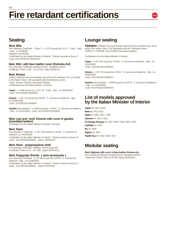

# **Seating**

#### **Mod. Blitz**

Fire retardant Certificate – Class  $1 - n$ . 3270 issued by LA.P.I. – Prato – Italy - Italy - on 02/06/98

Material L3270/1998

Certification by the Italian Minister of Interior: "Classe reazione al fuoco 1" Code SI1479D30CD100001E01

#### **Mod. Blitz with faux leather cover (Extrema AU)**

Fire retardant Certificate meeting French Standards AM18 Certificate FCBA n.  $AM - 18 - 10 - 043$  dated  $06/05/210$ 

#### **Mod. Breeze**

Gallery collection has successfully passed the fire retardant test, according to the Italian Class 1 IM standards with the following covers: Topas, Xtreme, Gazebo (simulated leather). Certifications by the Italian Minister of Interior:

**Topas** - n. 4438 issued by L.A.P.I. srl - Prato - Italy - on 18/04/2002 Code: SI1479D20D1IM00002

**Xtreme** - n. RF 725 issued by CATAS - S. Giovanni al Natisone - Italy on 23/06/2006

Code: SI1479D20D1M00007

**Gazebo** (faux-leather) - n.4438 issued by CATAS - S. Giovanni al Natisone - Italy - on 21/05/2003 - Code: SI1479D20D1M00003 -

#### **Mod. Lips and mod. Kimono with cover in gazebo (simulated leather)**

Certification by the Italian Minister of Interior: pending.

#### **Mod. Nami**

Fire retardant Certificate - n. RF 718 issued by CATAS - S. Giovanni al Natisone on 24/05/2006 - Certification by the Italian Minister of Interior: "Classe reazione al fuoco 2"

Code : SI1479D30D200008 – dated 30/03/2007

#### **Mod. Nami - polypropylene shell**

Fire retardant certificate meeting French Class M3 Certificate FCBA n.Cm  $-$  10- 048- dated 02/07/2010.

### **Mod. Poppystar /Pacifi c ( serie technicolor )**

Fire retardant Certificate - n. RF 610 issued by CATAS - S. Giovanni al Natisone - Italy - on 31/08/2005 - Certification by the Italian Minister of Interior: "Classe reazione al fuoco 2" Code : SI1479D30D200006 – dated 07/02/2005

# **Lounge seating**

**Alphabet** collection has successfully passed the fire retardant test, according to the Italian Class 1 IM Standards with the following covers: TOPAS 2, XTREME and GAZEBO (simulated leather).

Certifications by the Italian Minister of Interior:

**Topas** - n. RF 346 issued by CATAS - S. Giovanni al Natisone - Italy - on 15/10/2003 Code: SI1479D20D1M00004

**Xtreme** - n. RF 725 issued by CATAS - S. Giovanni al Natisone - Italy - on 23/06/2006 Code: SI1479D20D1M00007 –

**Gazebo** (faux-leather) - n.4438 issued by CATAS - S. Giovanni al Natisone - Italy - on 21/05/2003 Code: SI1479D20D1M00003 -

## **List of models approved by the Italian Minister of Interior**

**Alpha** Art. I819 / I820 **Beta** Art. I811/ I813 **Delta** Art. I805 / I807 / I809 **Gamma** Art. I821 / I822

**Hi-Omega /Omega** Art. I802 / I803 / I800 / I801 / I804

**Lambda** Art. I810 **Ro** Art. I828 **Sigma** Art. I818 **Tau/Hi Tau** Art. I824 / I826 / I827

# **Modular seating**

#### **Mod. Highway with cover in faux-leather Extrema Au**

Fire retardant certificate meeting French Standards AM18. Certificate FCBA N. AM-18-10-043 dated 06/05/2010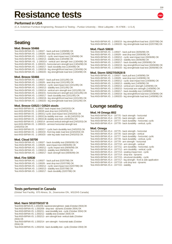# **Resistance tests**

## **Performed in USA**

(C.A. Eckelman Furniture Engineering, Research & Testing – Purdue University – West Lafayette – IN 47906 – U.S.A)

# **Seating**

#### **Mod. Breeze S0466**

Test ANSI-BIFMA X5 . 1-1993/7 - back pull test (13/08/98) OK Test ANSI-BIFMA X5 . 1-1993/9 - seat drop test (13/04/98) OK Test ANSI-BIFMA X5 . 1-1993/12 - cyclic seat impact test (13/04/98) OK Test ANSI-BIFMA X5 . 1-1993/13 - stability test (13/04/98) OK Test ANSI-BIFMA X5 . 1-1993/14 - vertical arm strength test (13/04/98) OK Test ANSI-BIFMA X5 . 1-1993/15 - horizontal arm strength test (13/04/98) OK Test ANSI-BIFMA X5 . 1-1993/17 - back durability test (13/04/98) OK Test ANSI-BIFMA X5 . 1-1993/19 - leg strength/front load test (13/04/98) OK Test ANSI-BIFMA X5 . 1-1993/20 - leg strength/side load test (13/04/98) OK

#### **Mod. Breeze S0466**

Test ANSI-BIFMA X5 . 1-1993/7 - back pull test (10/11/95) OK Test ANSI-BIFMA X5 . 1-1993/9 - seat drop test (10/11/95) OK Test ANSI-BIFMA X5 . 1-1993/12 - cyclic seat impact test (10/11/95) OK Test ANSI-BIFMA X5 . 1-1993/13 - stability test (10/11/95) OK Test ANSI-BIFMA X5 . 1-1993/14 - vertical arm strength test (10/11/95) OK Test ANSI-BIFMA X5 . 1-1993/15 - horizontal arm strength test (10/11/95) OK Test ANSI-BIFMA X5 . 1-1993/17 - back durability test (10/11/95) OK Test ANSI-BIFMA X5 . 1-1993/19 - leg strength/front load test (10/11/95) OK Test ANSI-BIFMA X5 . 1-1993/20 - leg strength/side load test (10/11/95) OK

#### **Mod. Breeze G0523 / G0524 stools**

test ANSI-BIFMA X5 . 1-1993/7 back impact test (24/02/03) OK test ANSI-BIFMA X5 . 1-1993/9 seat drop test (24/02/03) OK test ANSI-BIFMA X5 . 1-1993/12 cyclic seat impact test (24/02/03) OK test ANSI-BIFMA X5 . 1-1993/13a stability test-rear - no tilt (24/02/03) OK test ANSI-BIFMA X5 . 1-1993/13b stability test-front (24/02/03) OK test ANSI-BIFMA X5 . 1-1993/14 - armrest vertical strength test (24/02/03) OK test ANSI-BIFMA X5 . 1-1993/15 - armrest horizontal strength test (24/02/03) OK test ANSI-BIFMA X5 . 1-1993/17 - cyclic back durability test (24/02/03) OK test ANSI-BIFMA X5 . 1-1993/19 - front leg static load test ((24/02/03) OK test ANSI-BIFMA X5 . 1-1993/20 - side leg static load test (24/02/03) OK

#### **Mod. Cloud S0700**

| Test ANSI-BIFMA X5 . 1-1993/7 - back durability test (09/06/99) OK |
|--------------------------------------------------------------------|
| Test ANSI-BIFMA X5 . 1-1993/9 - seat impact test (09/06/99) OK     |
| Test ANSI-BIFMA X5 . 1-1993/12 - cyclic impact test (09/06/99) OK  |
| Test ANSI-BIFMA X5 . 1-1993/13 - stability test (09/06/99) OK      |
| Test ANSI-BIFMA X5 . 1-1993/17 - back strength test (09/06/99) OK  |

#### **Mod. Fire S0530**

Test ANSI-BIFMA X5 . 1-1993/7 - back pull test (02/07/98) OK Test ANSI-BIFMA X5 . 1-1993/9 - seat drop test (02/07/98) OK Test ANSI-BIFMA X5 . 1-1993/12 - cyclic seat impact test (02/07/98) OK Test ANSI-BIFMA X5 . 1-1993/13 - stability test (02/07/98) OK Test ANSI-BIFMA X5 . 1-1993/17 - back durability (02/07/98) OK

Test ANSI-BIFMA X5 . 1-1993/19 - leg strength/front load test. (02/07/98) OK Test ANSI-BIFMA X5 . 1-1993/20 - leg strength/side load test (02/07/98) OK

#### **Mod. Flash S0633**

Test ANSI-BIFMA X5 . 1-1993/7 - back pull test (30/06/98) OK Test ANSI-BIFMA X5 . 1-1993/9 - seat drop test (30/06/98) OK Test ANSI-BIFMA X5 . 1-1993/12 - cyclic seat impact test (30/06/98) OK Test ANSI-BIFMA X5 . 1-1993/13 - stability test (30/06/98) OK Test ANSI-BIFMA X5 . 1-1993/17 - back durability test (30/06/98) OK Test ANSI-BIFMA X5 . 1-1993/19 - leg strength/front load test (30/06/98) OK Test ANSI-BIFMA X5 . 1-1993/20 - leg strength/side load test (30/06/98) OK

#### **Mod. Storm S0527/S0528 B**

| Test ANSI-BIFMA X5 . 1-1993/7 - back pull test (14/08/96) OK                |
|-----------------------------------------------------------------------------|
| Test ANSI-BIFMA X5 . 1-1993/9 - seat drop test (14/08/96) OK                |
| Test ANSI-BIFMA X5 . 1-1993/12 - cyclic seat impact test (14/08/96) OK      |
| Test ANSI-BIFMA X5 . 1-1993/13 - stability test (14/08/96) OK               |
| Test ANSI-BIFMA X5 . 1-1993/14 - vertical arm strength (14/08/96) OK        |
| Test ANSI-BIFMA X5 . 1-1993/15 - horizontal arm strength (14/08/96) OK      |
| Test ANSI-BIFMA X5 . 1-1993/17 - back durability test (14/08/96) OK         |
| Test ANSI-BIFMA X5 . 1-1993/19 - leg strength/front load test (14/08/96) OK |
| Test ANSI-BIFMA X5 . 1-1993/20 - leg strength/side load test (14/08/96) OK  |
|                                                                             |

## **Lounge seating**

#### **Mod. HI Omega I802**

Test ANSI-BIFMA X5.4 - 1977/5 - back strength - horizontal Test ANSI-BIFMA X5.4 - 1977/6 - back strength - vertical Test ANSI-BIFMA X5.4 - 1977/7 - back durability - horizontal, cyclic Test ANSI-BIFMA X5.4 - 1977/8 - back durability - vertical, cyclic

#### **Mod. Omega**

| Test ANSI-BIFMA X5.4 - 1977/5 - back strength - horizontal               |
|--------------------------------------------------------------------------|
| Test ANSI-BIFMA X5.4 - 1977/6 - back strength - vertical                 |
| Test ANSI-BIFMA X5.4 - 1977/7 - back durability - horizontal, cyclic     |
| Test ANSI-BIFMA X5.4 - 1977/8 - back durability - vertical, cyclic       |
| Test ANSI-BIFMA X5.4 - 1977/9 - arm strength - horizontal                |
| Test ANSI-BIFMA X5.4 - 1977/10 - arm strength - vertical                 |
| Test ANSI-BIFMA X5.4 - 1977/11 - arm durability - horizontal, cyclic     |
| Test ANSI-BIFMA X5.4 - 1977/12 - arm durability - vertical, cyclic       |
| Test ANSI-BIFMA X5.4 - 1977/13 - seating impact test - cyclic            |
| Test ANSI-BIFMA X5.4 - 1977/14 - drop test - dynamic                     |
| Test ANSI-BIFMA X5.4 - 1977/15 - structural durability - cyclic          |
| Test ANSI-BIFMA X5.4 - 1977/17 - leg strength - front & side application |
| Test ANSI-BIFMA X5.4 - 1977/18 - unit drop test - dynamic                |
| Test ANSI-BIFMA X5.4 - 1977/22 - stability                               |

#### **Tests performed in Canada**

(Global Test Facility, 870 Alness, St., Downsview ON., M3J2H5 Canada)

#### **Mod. Nami S0107/S0107 B**

Test ANSI-BIFMA X5. 1-2002/06 - backrest strenght test - static (October 2004) OK Test ANSI-BIFMA X5. 1-2002/08 - drop test - dynamic (October 2004) OK Test ANSI-BIFMA X5. 1-2002/11 - seat durability test - cyclic (October 2004) OK Test ANSI-BIFMA X5. 1-2002/12 - stability test (October 2004) OK Test ANSI-BIFMA X5. 1-2002/13 - arm strenght test- vertical static (October 2004) OK Test ANSI-BIFMA X5. 1-2002/14 - arm strenght - horizontal static (October 2004) OK

Test ANSI-BIFMA X5. 1-2002/16 - back durability test - cyclic (October 2004) OK